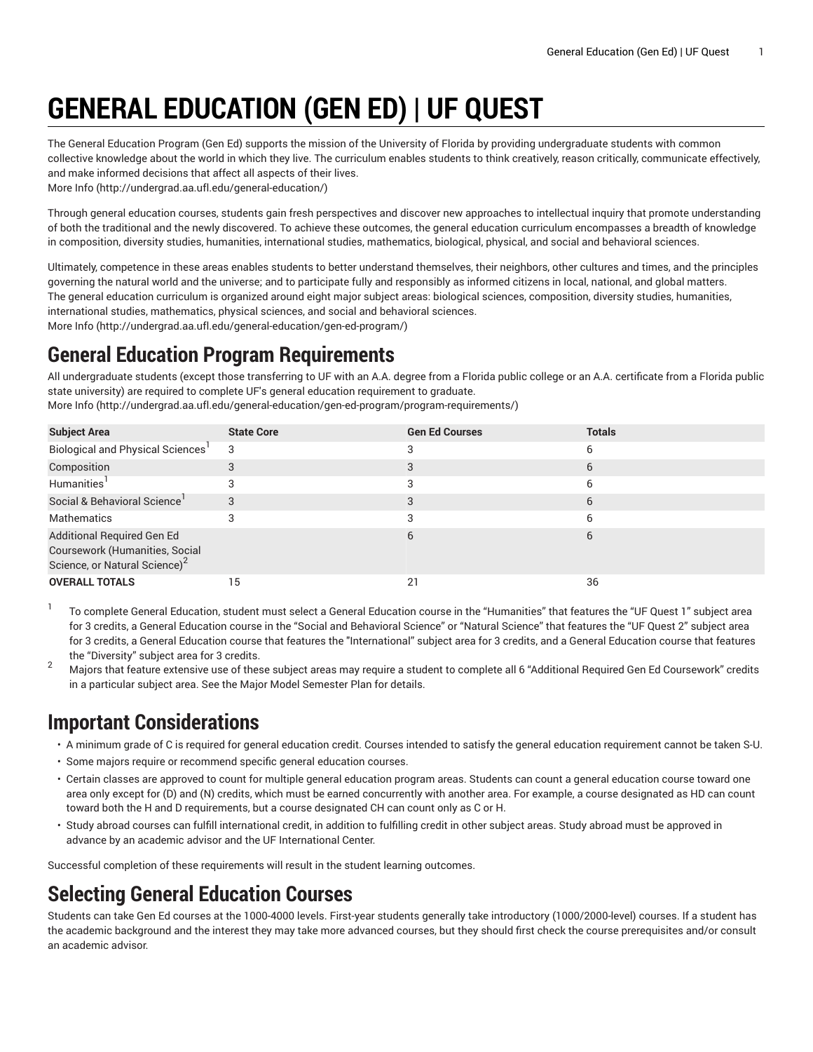# **GENERAL EDUCATION (GEN ED) | UF QUEST**

The General Education Program (Gen Ed) supports the mission of the University of Florida by providing undergraduate students with common collective knowledge about the world in which they live. The curriculum enables students to think creatively, reason critically, communicate effectively, and make informed decisions that affect all aspects of their lives. [More](http://undergrad.aa.ufl.edu/general-education/) Info [\(http://undergrad.aa.ufl.edu/general-education/](http://undergrad.aa.ufl.edu/general-education/))

Through general education courses, students gain fresh perspectives and discover new approaches to intellectual inquiry that promote understanding of both the traditional and the newly discovered. To achieve these outcomes, the general education curriculum encompasses a breadth of knowledge in composition, diversity studies, humanities, international studies, mathematics, biological, physical, and social and behavioral sciences.

Ultimately, competence in these areas enables students to better understand themselves, their neighbors, other cultures and times, and the principles governing the natural world and the universe; and to participate fully and responsibly as informed citizens in local, national, and global matters. The general education curriculum is organized around eight major subject areas: biological sciences, composition, diversity studies, humanities, international studies, mathematics, physical sciences, and social and behavioral sciences. [More](http://undergrad.aa.ufl.edu/general-education/gen-ed-program/) Info [\(http://undergrad.aa.ufl.edu/general-education/gen-ed-program/](http://undergrad.aa.ufl.edu/general-education/gen-ed-program/))

# **General Education Program Requirements**

All undergraduate students (except those transferring to UF with an A.A. degree from a Florida public college or an A.A. certificate from a Florida public state university) are required to complete UF's general education requirement to graduate.

| <b>Subject Area</b>                                                                                       | <b>State Core</b> | <b>Gen Ed Courses</b> | <b>Totals</b> |
|-----------------------------------------------------------------------------------------------------------|-------------------|-----------------------|---------------|
| Biological and Physical Sciences <sup>1</sup>                                                             | 3                 |                       | 6             |
| Composition                                                                                               |                   |                       | 6             |
| Humanities'                                                                                               |                   |                       | h             |
| Social & Behavioral Science                                                                               |                   |                       | 6             |
| Mathematics                                                                                               |                   |                       | 6             |
| Additional Required Gen Ed<br>Coursework (Humanities, Social<br>Science, or Natural Science) <sup>2</sup> |                   |                       | 6             |
| <b>OVERALL TOTALS</b>                                                                                     | 15                | 21                    | 36            |

[More](http://undergrad.aa.ufl.edu/general-education/gen-ed-program/program-requirements/) Info [\(http://undergrad.aa.ufl.edu/general-education/gen-ed-program/program-requirements/\)](http://undergrad.aa.ufl.edu/general-education/gen-ed-program/program-requirements/)

1 To complete General Education, student must select a General Education course in the "Humanities" that features the "UF Quest 1" subject area for 3 credits, a General Education course in the "Social and Behavioral Science" or "Natural Science" that features the "UF Quest 2" subject area for 3 credits, a General Education course that features the "International" subject area for 3 credits, and a General Education course that features the "Diversity" subject area for 3 credits.

<sup>2</sup> Majors that feature extensive use of these subject areas may require a student to complete all 6 "Additional Required Gen Ed Coursework" credits in a particular subject area. See the Major Model Semester Plan for details.

# **Important Considerations**

- A minimum grade of C is required for general education credit. Courses intended to satisfy the general education requirement cannot be taken S-U.
- Some majors require or recommend specific general education courses.
- Certain classes are approved to count for multiple general education program areas. Students can count a general education course toward one area only except for (D) and (N) credits, which must be earned concurrently with another area. For example, a course designated as HD can count toward both the H and D requirements, but a course designated CH can count only as C or H.
- Study abroad courses can fulfill international credit, in addition to fulfilling credit in other subject areas. Study abroad must be approved in advance by an academic advisor and the UF International Center.

Successful completion of these requirements will result in the student learning outcomes.

# **Selecting General Education Courses**

Students can take Gen Ed courses at the 1000-4000 levels. First-year students generally take introductory (1000/2000-level) courses. If a student has the academic background and the interest they may take more advanced courses, but they should first check the course prerequisites and/or consult an academic advisor.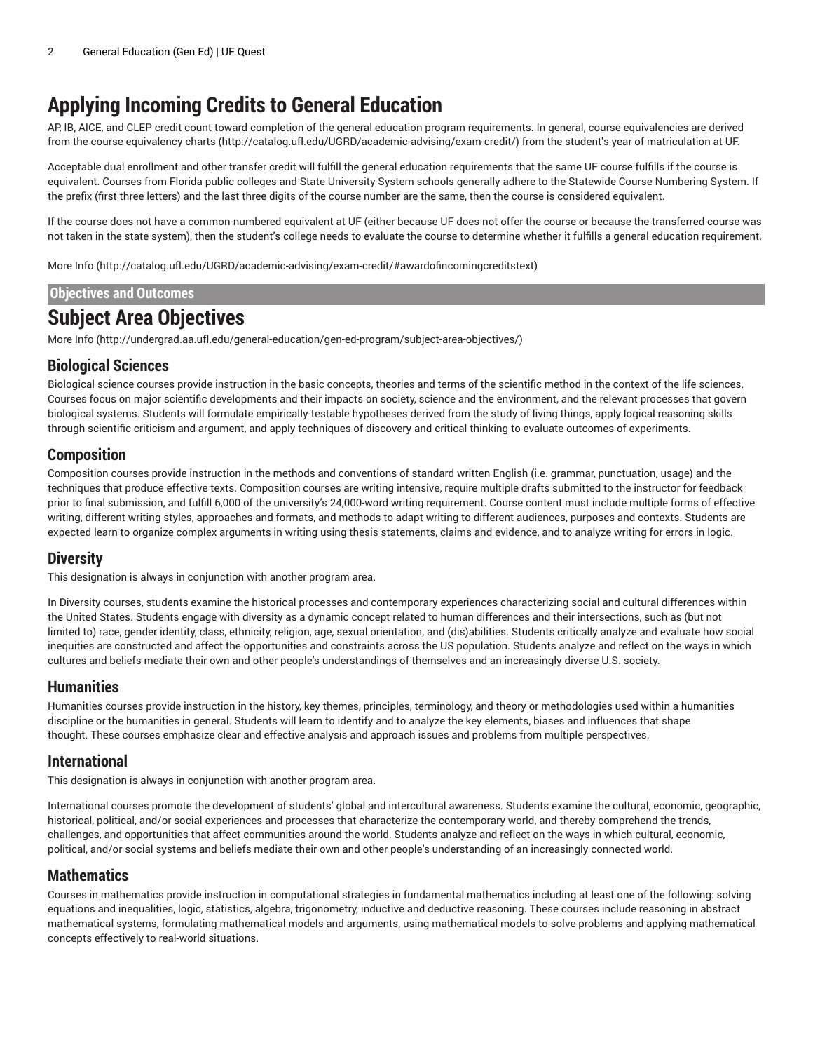# **Applying Incoming Credits to General Education**

AP, IB, AICE, and CLEP credit count toward completion of the general education program requirements. In general, course equivalencies are derived from the course [equivalency](http://catalog.ufl.edu/UGRD/academic-advising/exam-credit/) charts [\(http://catalog.ufl.edu/UGRD/academic-advising/exam-credit/\)](http://catalog.ufl.edu/UGRD/academic-advising/exam-credit/) from the student's year of matriculation at UF.

Acceptable dual enrollment and other transfer credit will fulfill the general education requirements that the same UF course fulfills if the course is equivalent. Courses from Florida public colleges and State University System schools generally adhere to the Statewide Course Numbering System. If the prefix (first three letters) and the last three digits of the course number are the same, then the course is considered equivalent.

If the course does not have a common-numbered equivalent at UF (either because UF does not offer the course or because the transferred course was not taken in the state system), then the student's college needs to evaluate the course to determine whether it fulfills a general education requirement.

[More](http://catalog.ufl.edu/UGRD/academic-advising/exam-credit/#awardofincomingcreditstext) Info [\(http://catalog.ufl.edu/UGRD/academic-advising/exam-credit/#awardofincomingcreditstext](http://catalog.ufl.edu/UGRD/academic-advising/exam-credit/#awardofincomingcreditstext))

### **Objectives and Outcomes**

# **Subject Area Objectives**

[More](http://undergrad.aa.ufl.edu/general-education/gen-ed-program/subject-area-objectives/) Info [\(http://undergrad.aa.ufl.edu/general-education/gen-ed-program/subject-area-objectives/](http://undergrad.aa.ufl.edu/general-education/gen-ed-program/subject-area-objectives/))

### **Biological Sciences**

Biological science courses provide instruction in the basic concepts, theories and terms of the scientific method in the context of the life sciences. Courses focus on major scientific developments and their impacts on society, science and the environment, and the relevant processes that govern biological systems. Students will formulate empirically-testable hypotheses derived from the study of living things, apply logical reasoning skills through scientific criticism and argument, and apply techniques of discovery and critical thinking to evaluate outcomes of experiments.

### **Composition**

Composition courses provide instruction in the methods and conventions of standard written English (i.e. grammar, punctuation, usage) and the techniques that produce effective texts. Composition courses are writing intensive, require multiple drafts submitted to the instructor for feedback prior to final submission, and fulfill 6,000 of the university's 24,000-word writing requirement. Course content must include multiple forms of effective writing, different writing styles, approaches and formats, and methods to adapt writing to different audiences, purposes and contexts. Students are expected learn to organize complex arguments in writing using thesis statements, claims and evidence, and to analyze writing for errors in logic.

### **Diversity**

This designation is always in conjunction with another program area.

In Diversity courses, students examine the historical processes and contemporary experiences characterizing social and cultural differences within the United States. Students engage with diversity as a dynamic concept related to human differences and their intersections, such as (but not limited to) race, gender identity, class, ethnicity, religion, age, sexual orientation, and (dis)abilities. Students critically analyze and evaluate how social inequities are constructed and affect the opportunities and constraints across the US population. Students analyze and reflect on the ways in which cultures and beliefs mediate their own and other people's understandings of themselves and an increasingly diverse U.S. society.

### **Humanities**

Humanities courses provide instruction in the history, key themes, principles, terminology, and theory or methodologies used within a humanities discipline or the humanities in general. Students will learn to identify and to analyze the key elements, biases and influences that shape thought. These courses emphasize clear and effective analysis and approach issues and problems from multiple perspectives.

### **International**

This designation is always in conjunction with another program area.

International courses promote the development of students' global and intercultural awareness. Students examine the cultural, economic, geographic, historical, political, and/or social experiences and processes that characterize the contemporary world, and thereby comprehend the trends, challenges, and opportunities that affect communities around the world. Students analyze and reflect on the ways in which cultural, economic, political, and/or social systems and beliefs mediate their own and other people's understanding of an increasingly connected world.

### **Mathematics**

Courses in mathematics provide instruction in computational strategies in fundamental mathematics including at least one of the following: solving equations and inequalities, logic, statistics, algebra, trigonometry, inductive and deductive reasoning. These courses include reasoning in abstract mathematical systems, formulating mathematical models and arguments, using mathematical models to solve problems and applying mathematical concepts effectively to real-world situations.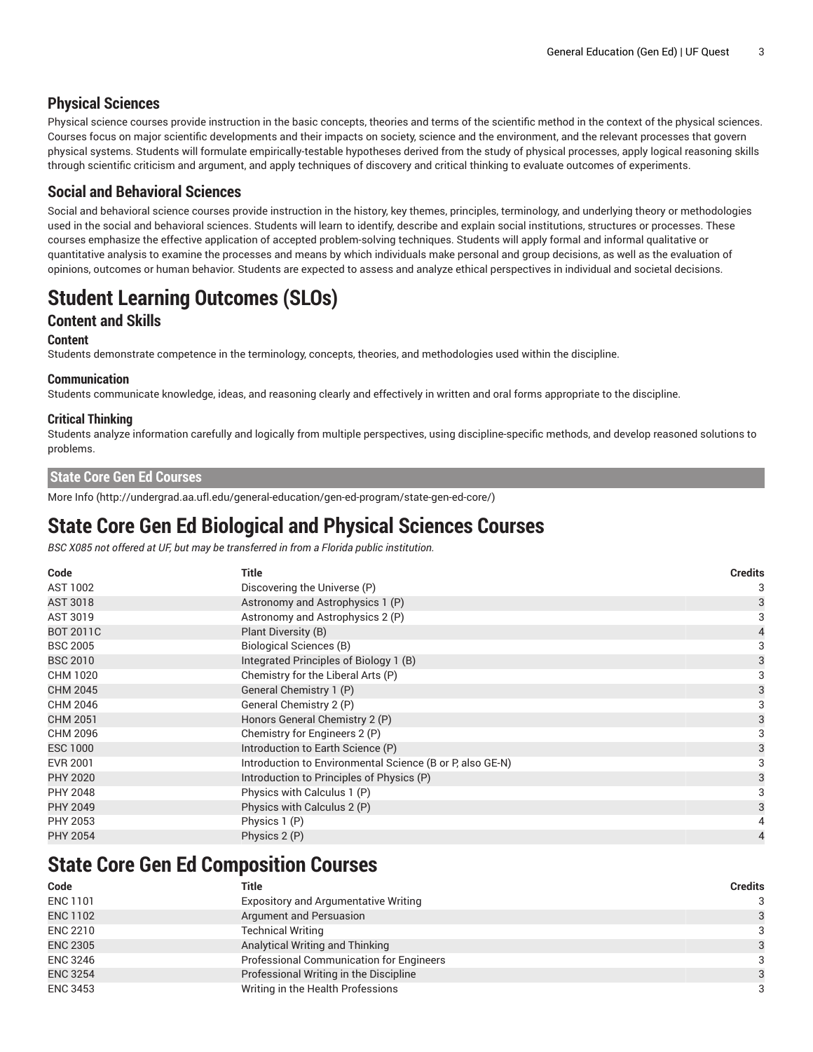### **Physical Sciences**

Physical science courses provide instruction in the basic concepts, theories and terms of the scientific method in the context of the physical sciences. Courses focus on major scientific developments and their impacts on society, science and the environment, and the relevant processes that govern physical systems. Students will formulate empirically-testable hypotheses derived from the study of physical processes, apply logical reasoning skills through scientific criticism and argument, and apply techniques of discovery and critical thinking to evaluate outcomes of experiments.

### **Social and Behavioral Sciences**

Social and behavioral science courses provide instruction in the history, key themes, principles, terminology, and underlying theory or methodologies used in the social and behavioral sciences. Students will learn to identify, describe and explain social institutions, structures or processes. These courses emphasize the effective application of accepted problem-solving techniques. Students will apply formal and informal qualitative or quantitative analysis to examine the processes and means by which individuals make personal and group decisions, as well as the evaluation of opinions, outcomes or human behavior. Students are expected to assess and analyze ethical perspectives in individual and societal decisions.

# **Student Learning Outcomes (SLOs)**

### **Content and Skills**

#### **Content**

Students demonstrate competence in the terminology, concepts, theories, and methodologies used within the discipline.

#### **Communication**

Students communicate knowledge, ideas, and reasoning clearly and effectively in written and oral forms appropriate to the discipline.

#### **Critical Thinking**

Students analyze information carefully and logically from multiple perspectives, using discipline-specific methods, and develop reasoned solutions to problems.

#### **State Core Gen Ed Courses**

[More](http://undergrad.aa.ufl.edu/general-education/gen-ed-program/state-gen-ed-core/) Info [\(http://undergrad.aa.ufl.edu/general-education/gen-ed-program/state-gen-ed-core/](http://undergrad.aa.ufl.edu/general-education/gen-ed-program/state-gen-ed-core/))

# **State Core Gen Ed Biological and Physical Sciences Courses**

*BSC X085 not offered at UF, but may be transferred in from a Florida public institution.*

| Code             | Title                                                     | <b>Credits</b> |
|------------------|-----------------------------------------------------------|----------------|
| AST 1002         | Discovering the Universe (P)                              | 3              |
| AST 3018         | Astronomy and Astrophysics 1 (P)                          | 3              |
| AST 3019         | Astronomy and Astrophysics 2 (P)                          | 3              |
| <b>BOT 2011C</b> | Plant Diversity (B)                                       |                |
| <b>BSC 2005</b>  | <b>Biological Sciences (B)</b>                            | 3              |
| <b>BSC 2010</b>  | Integrated Principles of Biology 1 (B)                    | 3              |
| CHM 1020         | Chemistry for the Liberal Arts (P)                        | 3              |
| <b>CHM 2045</b>  | General Chemistry 1 (P)                                   | 3              |
| CHM 2046         | General Chemistry 2 (P)                                   | 3              |
| <b>CHM 2051</b>  | Honors General Chemistry 2 (P)                            | 3              |
| CHM 2096         | Chemistry for Engineers 2 (P)                             | 3              |
| <b>ESC 1000</b>  | Introduction to Earth Science (P)                         | 3              |
| <b>EVR 2001</b>  | Introduction to Environmental Science (B or P, also GE-N) |                |
| <b>PHY 2020</b>  | Introduction to Principles of Physics (P)                 | 3              |
| <b>PHY 2048</b>  | Physics with Calculus 1 (P)                               | 3              |
| PHY 2049         | Physics with Calculus 2 (P)                               | 3              |
| PHY 2053         | Physics 1 (P)                                             |                |
| <b>PHY 2054</b>  | Physics 2 (P)                                             | 4              |

# **State Core Gen Ed Composition Courses**

| Code            | Title                                           | <b>Credits</b> |
|-----------------|-------------------------------------------------|----------------|
| <b>ENC 1101</b> | <b>Expository and Argumentative Writing</b>     | 3              |
| <b>ENC 1102</b> | Argument and Persuasion                         | 3              |
| <b>ENC 2210</b> | <b>Technical Writing</b>                        | 3              |
| <b>ENC 2305</b> | Analytical Writing and Thinking                 | $\mathcal{R}$  |
| <b>ENC 3246</b> | <b>Professional Communication for Engineers</b> | 3              |
| <b>ENC 3254</b> | Professional Writing in the Discipline          | $\mathcal{R}$  |
| <b>ENC 3453</b> | Writing in the Health Professions               | 3              |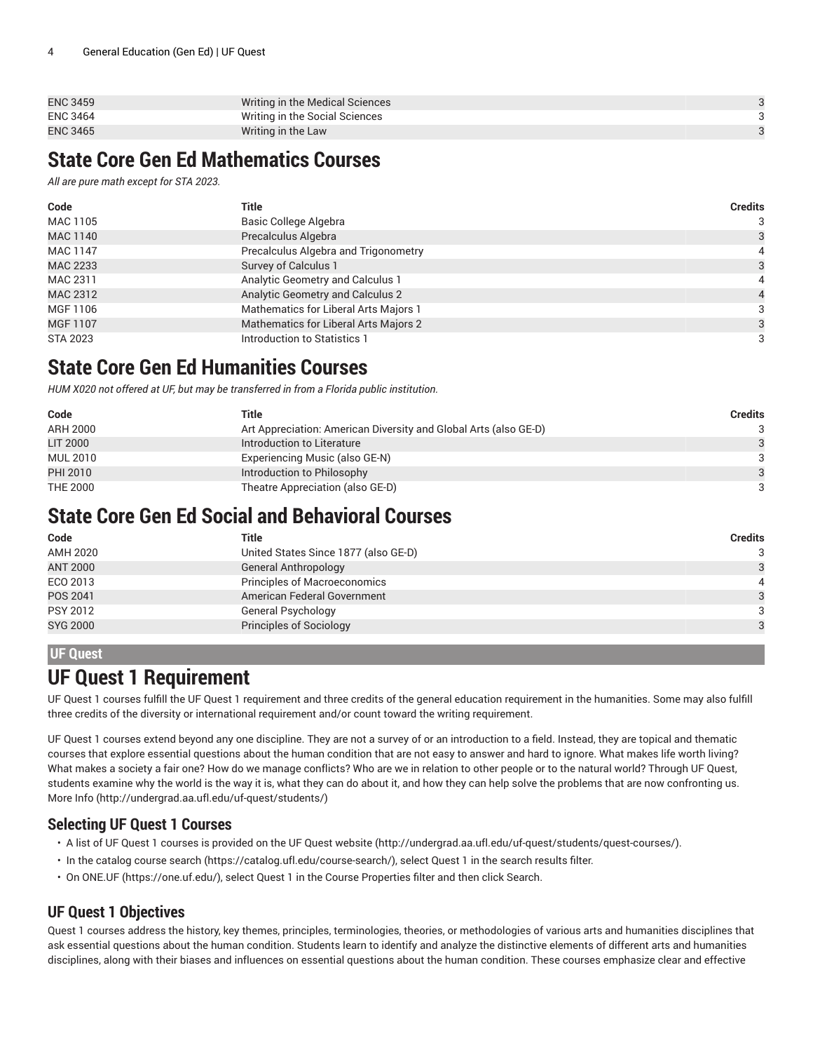| <b>ENC 3459</b> | Writing in the Medical Sciences |  |
|-----------------|---------------------------------|--|
| <b>ENC 3464</b> | Writing in the Social Sciences  |  |
| <b>ENC 3465</b> | Writing in the Law              |  |

# **State Core Gen Ed Mathematics Courses**

*All are pure math except for STA 2023.*

| Code            | Title                                 | <b>Credits</b> |
|-----------------|---------------------------------------|----------------|
| MAC 1105        | Basic College Algebra                 | 3              |
| MAC 1140        | Precalculus Algebra                   | 3              |
| MAC 1147        | Precalculus Algebra and Trigonometry  | 4              |
| MAC 2233        | Survey of Calculus 1                  | 3              |
| MAC 2311        | Analytic Geometry and Calculus 1      | 4              |
| MAC 2312        | Analytic Geometry and Calculus 2      | 4              |
| MGF 1106        | Mathematics for Liberal Arts Majors 1 | 3              |
| MGF 1107        | Mathematics for Liberal Arts Majors 2 | 3              |
| <b>STA 2023</b> | Introduction to Statistics 1          | 3              |

# **State Core Gen Ed Humanities Courses**

*HUM X020 not offered at UF, but may be transferred in from a Florida public institution.*

| Code            | Title                                                            | <b>Credits</b> |
|-----------------|------------------------------------------------------------------|----------------|
| ARH 2000        | Art Appreciation: American Diversity and Global Arts (also GE-D) | 3              |
| LIT 2000        | Introduction to Literature                                       | $\mathcal{R}$  |
| <b>MUL 2010</b> | Experiencing Music (also GE-N)                                   | 3              |
| PHI 2010        | Introduction to Philosophy                                       | $\mathcal{R}$  |
| <b>THE 2000</b> | Theatre Appreciation (also GE-D)                                 | 3              |

# **State Core Gen Ed Social and Behavioral Courses**

| Code            | Title                                | <b>Credits</b> |
|-----------------|--------------------------------------|----------------|
| AMH 2020        | United States Since 1877 (also GE-D) | 3              |
| <b>ANT 2000</b> | <b>General Anthropology</b>          | 3              |
| ECO 2013        | Principles of Macroeconomics         | 4              |
| POS 2041        | American Federal Government          | 3              |
| PSY 2012        | General Psychology                   | 3              |
| <b>SYG 2000</b> | Principles of Sociology              | 3              |

### **UF Quest**

# **UF Quest 1 Requirement**

UF Quest 1 courses fulfill the UF Quest 1 requirement and three credits of the general education requirement in the humanities. Some may also fulfill three credits of the diversity or international requirement and/or count toward the writing requirement.

UF Quest 1 courses extend beyond any one discipline. They are not a survey of or an introduction to a field. Instead, they are topical and thematic courses that explore essential questions about the human condition that are not easy to answer and hard to ignore. What makes life worth living? What makes a society a fair one? How do we manage conflicts? Who are we in relation to other people or to the natural world? Through UF Quest, students examine why the world is the way it is, what they can do about it, and how they can help solve the problems that are now confronting us. [More](http://undergrad.aa.ufl.edu/uf-quest/students/) Info [\(http://undergrad.aa.ufl.edu/uf-quest/students/](http://undergrad.aa.ufl.edu/uf-quest/students/))

### **Selecting UF Quest 1 Courses**

- A list of UF Quest 1 courses is provided on the [UF Quest website \(http://undergrad.aa.ufl.edu/uf-quest/students/quest-courses/\)](http://undergrad.aa.ufl.edu/uf-quest/students/quest-courses/).
- In the [catalog](https://catalog.ufl.edu/course-search/) course search [\(https://catalog.ufl.edu/course-search/](https://catalog.ufl.edu/course-search/)), select Quest 1 in the search results filter.
- On [ONE.UF](https://one.uf.edu/) ([https://one.uf.edu/\)](https://one.uf.edu/), select Quest 1 in the Course Properties filter and then click Search.

## **UF Quest 1 Objectives**

Quest 1 courses address the history, key themes, principles, terminologies, theories, or methodologies of various arts and humanities disciplines that ask essential questions about the human condition. Students learn to identify and analyze the distinctive elements of different arts and humanities disciplines, along with their biases and influences on essential questions about the human condition. These courses emphasize clear and effective